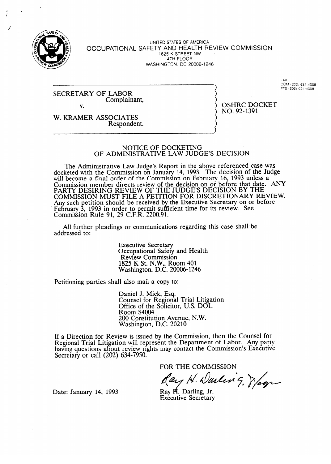

UNITED STATES OF AMERICA OCCUPATIONAL SAFETY AND HEALTH REVIEW COMMISSION 1825 K STREET NW **4TH FLOOR** WASHINGTCN, DC 20006-1246

SECRETARY OF LABOR Complainant, V.

**FAX** FTS (202) 634-4008

OSHRC DOCKET<br>NO. 92-1391

W. KRAMER ASSOCIATES Respondent.

# NOTICE OF DOCKETING OF ADMINISTRATIVE LAW JUDGE'S DECISION

The Administrative Law Judge's Report in the above referenced case was docketed with the Commission on January 14, 1993. The decision of the Judge will become a final order of the Commission on February 16, 1993 unless a will become a final order of the Commission on  $\epsilon$  collarly 16, 1993 unless a PARTY DESIRING REVIEW OF THE JUDGE'S DECISION BY THE COMMISSION MUST FILE A PETITION FOR DISCRETIONARY RE Any such petition should be received by the Executive Secretary on or before February 3, 1993 in order to permit sufficient time for its review. See  $Commission Rule 91, 29 C.F.R. 2200.9$  $\overline{\phantom{a}}$  $\frac{1}{1}$ . . 2200.91.

All further pleadings or communications regarding this case shall be addressed to: addressed to:

> **Executive Secretary**<br>Occupational Safety and Health Review Commission .825 K St. N.W., Ro Washington, D.C. 20006-124

Washington, D.C. 20006-1246

Petitioning parties shall also mail a copv d to: Counsel for Regional Office of the Solicitor, U.S. DOL Room S4004 200 Constitution Avenue, N.W. Washington, D.C. 20210

If a Direction for Review is issued by the Commission, then the Counsel for Regional Trial Litigation will represent the Department of Labor. Any party having questions about review rights may contact the Commission's Executive Secretary or call  $(202)$  634-7950.

FOR THE COMMISSION

ay N. Darling, Spagn

Date: January 14, 1993

Rav H. Darling, Jr. **Executive Secretary**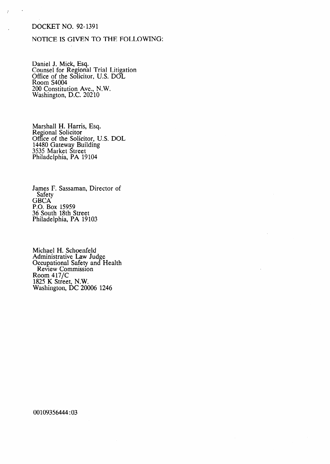### DOCKET NO. 92-1391

 $\ddot{\phantom{a}}$ 

 $\mathcal{I}$ 

### NOTICE IS GIVEN TO THE FOLLOWING:

Daniel J. Mick, Esq. Counsel for Regional Trial Litigation Office of the Solicitor, U.S. DOL Room S4004 200 Constitution Ave., N.W. Washington, D.C. 202 10

Marshall H. Harris, Esq. Regional Solicitor Office of the Solicitor, U.S. DOL 14480 Gateway Building 3535 Market Street Philadelphia, PA 19104

James F. Sassaman, Director of Safety GBCA P.O. Box 15959 36 South 18th Street Philadelphia, PA 19103

Michael H. Schoenfeld Administrative Law Jud Occupational Safety and e Health Review Commission Room 417/C 1825 K Street, N.W. Washington, DC 20006 1246

00109356444 :03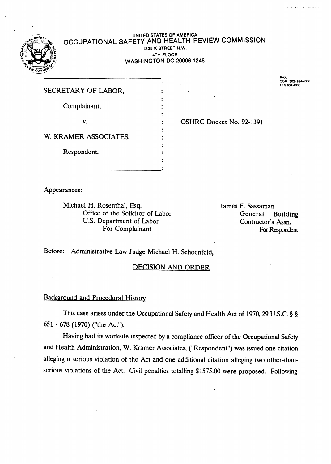

#### UNITED STATES OF AMERICA OCCUPATIONAL SAFETY AND HEALTH REVIEW COMMISSION 1825 K STREET N.W. 4TH FLOOR **WASHINGTON DC 20006-1246**

| SECRETARY OF LABOR,   |  |
|-----------------------|--|
|                       |  |
| Complainant,          |  |
| V.                    |  |
| W. KRAMER ASSOCIATES, |  |
| Respondent.           |  |
|                       |  |

**FAX: COM (202)** 634-4008 **FT'S 6344006** 

OSHRC Docket No. 92-1391

.

Appearances:

Michael H. Rosenthal, Esq. Office of the Solicitor of Labor U.S. Department of Labor For Complainant

James F. Sassaman . General Building Contractor's Assn. For Respondent

.

Before: Administrative Law Judge Michael H. Schoenfeld,

# DECISION AND ORDER

### Background and Procedural History

This case arises under the Occupational Safety and Health Act of 1970, 29 U.S.C. § § 651 - 678 (1970) ("the Act").

Having had its worksite inspected by a compliance officer of the Occupational Safety and Health Administration, W. Kramer Associates, ("Respondent") was issued one citation alleging a serious violation of the Act and one additional citation alleging two other-thanserious violations of the Act. Civil penalties totalling \$1575.00 were proposed. Following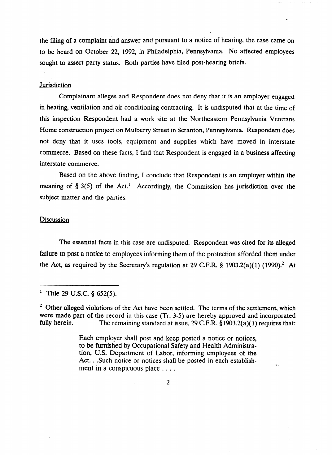the filing of a complaint and **answer** and pursuant to a notice of hearing, the case came on to be heard on October 22, 1992, in Philadelphia, Pennsylvania. NO affected employees sought to assert party status. Both parties have filed post-hearing briefs.

#### **Jurisdiction**

Complainant alleges and Respondent does not deny that it is an employer engaged in heating, ventilation and air conditioning contracting. It is undisputed that at the time of this inspection Respondent had a work site at the Northeastern Pennsylvania Veterans Home construction project on Mulberry Street in Scranton, Pennsylvania. Respondent does not deny that it uses tools, equipment and supplies which have moved in interstate commerce. Based on these facts, I find that Respondent is engaged in a business affecting interstate commerce.

Based on the above finding, I conclude that Respondent is an employer within the meaning of § 3(5) of the Act.' Accordingly, the Commission has jurisdiction over the subject matter and the parties.

#### **Discussion**

The essential facts in this case are undisputed. Respondent was cited for its alleged<br>failure to post a notice to employees informing them of the protection afforded them under  $f_{\text{max}}$  failure to post  $f_{\text{max}}$  and  $f_{\text{max}}$  informing them of the protection afforded them under the Act, as required by the Secretary's regulation at 29 C.F.R. § 1903.2(a)(1) (1990).<sup>2</sup> At

fully herein. The remaining standard at issue, 29 C.F.R. 51903.2(a)(l) requires that:

يديا

<sup>&</sup>lt;sup>1</sup> Title 29 U.S.C. § 652(5). ' Title 29 U.S.C. 0 652(5).

 $2\degree$  Other alleged violations of the Act have been settled. The terms of the settlement, which were made part of the record in this case (Tr. 3-5) are hereby approved and incorporated fully herein. The remaining standard at issue,  $29 \text{ C.F.R. } $1903.2(a)(1)$  requires that:

Each employer shall post and keep posted a notice or notices, to be furnished by Occupational Safety and Health Administration, U.S. Department of Labor, informing employees of the Act. . .Such notice or notices shall be posted in each establishment in a conspicuous place  $\dots$ .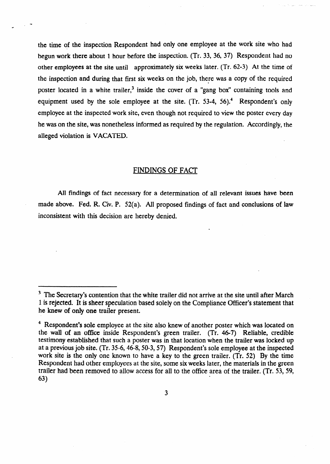the time of the inspection Respondent had only one employee at the work site who had begun work there about 1 hour before the inspection. (Tr. 33, 36, 37) Respondent had no other employees at the site until approximately six weeks later. (Tr. 62-3) At the time of the inspection and during that first six weeks on the job, there was a copy of the required poster located in a white trailer,<sup>3</sup> inside the cover of a "gang box" containing tools and equipment used by the sole employee at the site.  $(Tr. 53-4, 56)$ .<sup>4</sup> Respondent's only employee at the inspected work site, even though not required to view the poster every day he was on the site, was nonetheless informed as required by the regulation. Accordingly, the alleged violation is VACATED.

\_\_ .. . . . .

# FINDINGS OF FACT

All findings of fact necessary for a determination of all relevant issues have been made above. Fed. R, Civ. P. 52(a). All proposed findings of fact and conclusions of law inconsistent with this decision are hereby denied.

<sup>&</sup>lt;sup>3</sup> The Secretary's contention that the white trailer did not arrive at the site until after March 1 is rejected. It is sheer speculation based solely on the Compliance Officer's statement that he knew of only one trailer present.

<sup>&</sup>lt;sup>4</sup> Respondent's sole employee at the site also knew of another poster which was located on the wall of an office inside Respondent's green trailer. (Tr. 46-7) Reliable, credible testimony established that such a poster was in that location when the trailer was locked up at a previous job site. (Tr. 35.6,46-8,50-3,57) Respondent's sole employee at the inspected work site is the only one known to have a key to the green trailer. (Tr. 52) By the time Respondent had other employees at the site, some six weeks later, the materials in the green trailer had been removed to allow access for all to the office area of the trailer. (Tr. 53, 59,  $\epsilon$ 2) 63)